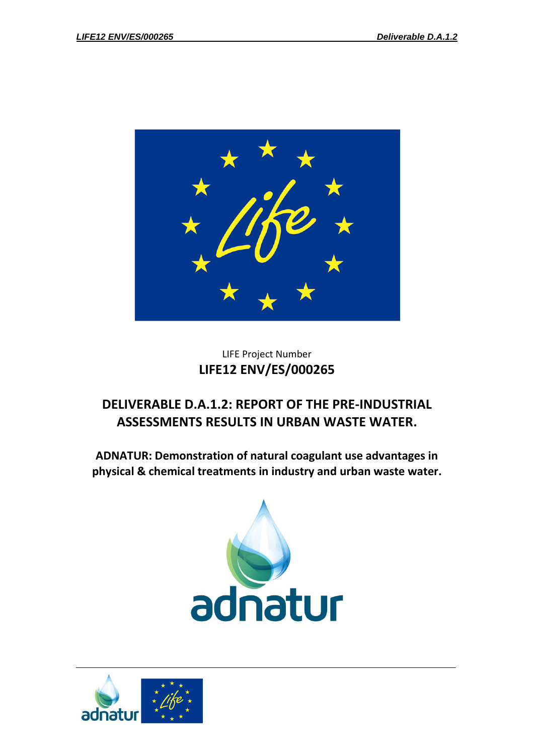

## LIFE Project Number **LIFE12 ENV/ES/000265**

# **DELIVERABLE D.A.1.2: REPORT OF THE PRE-INDUSTRIAL ASSESSMENTS RESULTS IN URBAN WASTE WATER.**

**ADNATUR: Demonstration of natural coagulant use advantages in physical & chemical treatments in industry and urban waste water.**



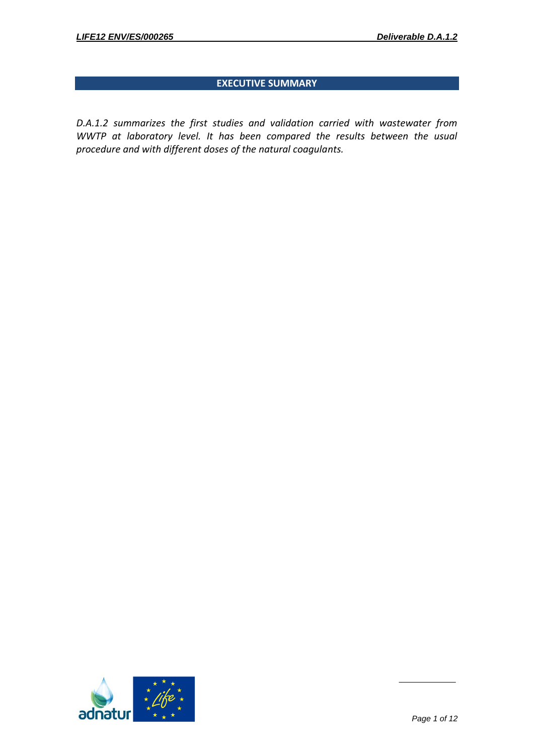## **EXECUTIVE SUMMARY**

*D.A.1.2 summarizes the first studies and validation carried with wastewater from WWTP at laboratory level. It has been compared the results between the usual procedure and with different doses of the natural coagulants.* 

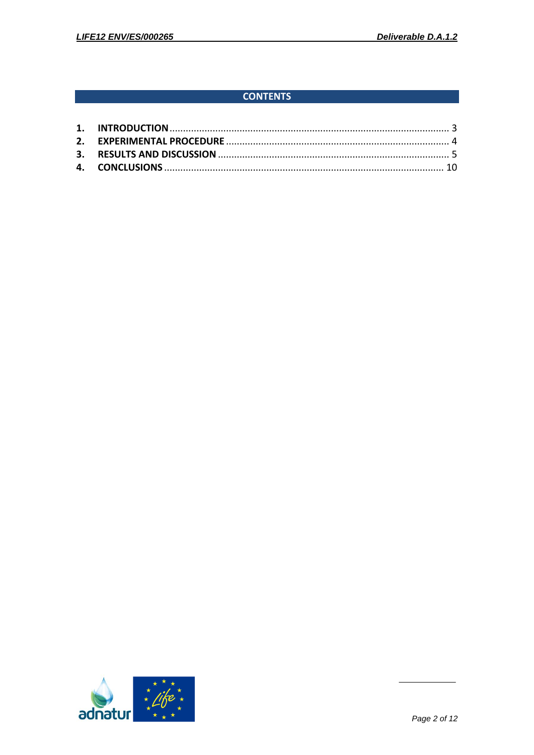## **CONTENTS**

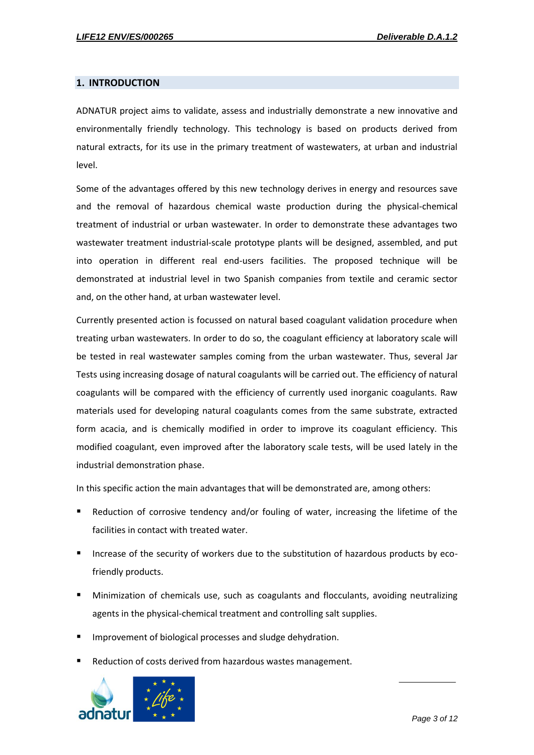#### <span id="page-3-0"></span>**1. INTRODUCTION**

ADNATUR project aims to validate, assess and industrially demonstrate a new innovative and environmentally friendly technology. This technology is based on products derived from natural extracts, for its use in the primary treatment of wastewaters, at urban and industrial level.

Some of the advantages offered by this new technology derives in energy and resources save and the removal of hazardous chemical waste production during the physical-chemical treatment of industrial or urban wastewater. In order to demonstrate these advantages two wastewater treatment industrial-scale prototype plants will be designed, assembled, and put into operation in different real end-users facilities. The proposed technique will be demonstrated at industrial level in two Spanish companies from textile and ceramic sector and, on the other hand, at urban wastewater level.

Currently presented action is focussed on natural based coagulant validation procedure when treating urban wastewaters. In order to do so, the coagulant efficiency at laboratory scale will be tested in real wastewater samples coming from the urban wastewater. Thus, several Jar Tests using increasing dosage of natural coagulants will be carried out. The efficiency of natural coagulants will be compared with the efficiency of currently used inorganic coagulants. Raw materials used for developing natural coagulants comes from the same substrate, extracted form acacia, and is chemically modified in order to improve its coagulant efficiency. This modified coagulant, even improved after the laboratory scale tests, will be used lately in the industrial demonstration phase.

In this specific action the main advantages that will be demonstrated are, among others:

- Reduction of corrosive tendency and/or fouling of water, increasing the lifetime of the facilities in contact with treated water.
- Increase of the security of workers due to the substitution of hazardous products by ecofriendly products.
- Minimization of chemicals use, such as coagulants and flocculants, avoiding neutralizing agents in the physical-chemical treatment and controlling salt supplies.
- Improvement of biological processes and sludge dehydration.
- Reduction of costs derived from hazardous wastes management.

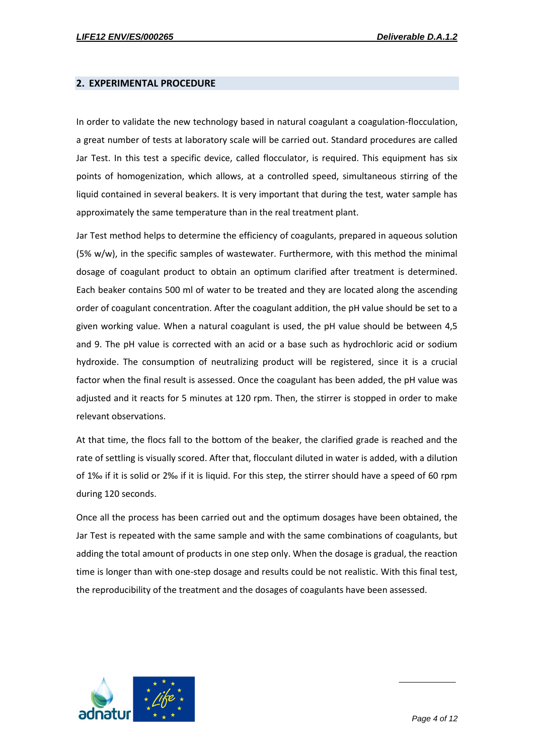#### <span id="page-4-0"></span>**2. EXPERIMENTAL PROCEDURE**

In order to validate the new technology based in natural coagulant a coagulation-flocculation, a great number of tests at laboratory scale will be carried out. Standard procedures are called Jar Test. In this test a specific device, called flocculator, is required. This equipment has six points of homogenization, which allows, at a controlled speed, simultaneous stirring of the liquid contained in several beakers. It is very important that during the test, water sample has approximately the same temperature than in the real treatment plant.

Jar Test method helps to determine the efficiency of coagulants, prepared in aqueous solution  $(5\% w/w)$ , in the specific samples of wastewater. Furthermore, with this method the minimal dosage of coagulant product to obtain an optimum clarified after treatment is determined. Each beaker contains 500 ml of water to be treated and they are located along the ascending order of coagulant concentration. After the coagulant addition, the pH value should be set to a given working value. When a natural coagulant is used, the pH value should be between 4,5 and 9. The pH value is corrected with an acid or a base such as hydrochloric acid or sodium hydroxide. The consumption of neutralizing product will be registered, since it is a crucial factor when the final result is assessed. Once the coagulant has been added, the pH value was adjusted and it reacts for 5 minutes at 120 rpm. Then, the stirrer is stopped in order to make relevant observations.

At that time, the flocs fall to the bottom of the beaker, the clarified grade is reached and the rate of settling is visually scored. After that, flocculant diluted in water is added, with a dilution of 1‰ if it is solid or 2‰ if it is liquid. For this step, the stirrer should have a speed of 60 rpm during 120 seconds.

Once all the process has been carried out and the optimum dosages have been obtained, the Jar Test is repeated with the same sample and with the same combinations of coagulants, but adding the total amount of products in one step only. When the dosage is gradual, the reaction time is longer than with one-step dosage and results could be not realistic. With this final test, the reproducibility of the treatment and the dosages of coagulants have been assessed.

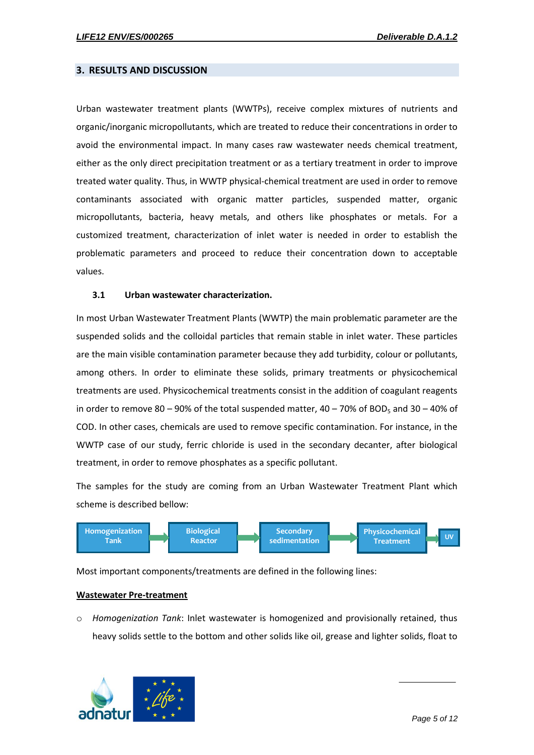#### <span id="page-5-0"></span>**3. RESULTS AND DISCUSSION**

Urban wastewater treatment plants (WWTPs), receive complex mixtures of nutrients and organic/inorganic micropollutants, which are treated to reduce their concentrations in order to avoid the environmental impact. In many cases raw wastewater needs chemical treatment, either as the only direct precipitation treatment or as a tertiary treatment in order to improve treated water quality. Thus, in WWTP physical-chemical treatment are used in order to remove contaminants associated with organic matter particles, suspended matter, organic micropollutants, bacteria, heavy metals, and others like phosphates or metals. For a customized treatment, characterization of inlet water is needed in order to establish the problematic parameters and proceed to reduce their concentration down to acceptable values.

#### **3.1 Urban wastewater characterization.**

In most Urban Wastewater Treatment Plants (WWTP) the main problematic parameter are the suspended solids and the colloidal particles that remain stable in inlet water. These particles are the main visible contamination parameter because they add turbidity, colour or pollutants, among others. In order to eliminate these solids, primary treatments or physicochemical treatments are used. Physicochemical treatments consist in the addition of coagulant reagents in order to remove 80 – 90% of the total suspended matter,  $40 - 70%$  of BOD<sub>5</sub> and 30 – 40% of COD. In other cases, chemicals are used to remove specific contamination. For instance, in the WWTP case of our study, ferric chloride is used in the secondary decanter, after biological treatment, in order to remove phosphates as a specific pollutant.

The samples for the study are coming from an Urban Wastewater Treatment Plant which scheme is described bellow:



Most important components/treatments are defined in the following lines:

#### **Wastewater Pre-treatment**

o *Homogenization Tank*: Inlet wastewater is homogenized and provisionally retained, thus heavy solids settle to the bottom and other solids like oil, grease and lighter solids, float to

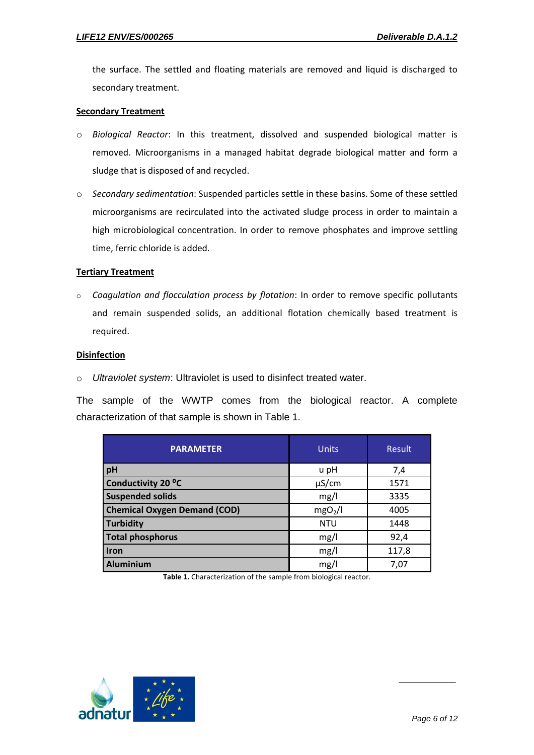the surface. The settled and floating materials are removed and liquid is discharged to secondary treatment.

#### **Secondary Treatment**

- o *Biological Reactor*: In this treatment, dissolved and suspended biological matter is removed. Microorganisms in a managed habitat degrade biological matter and form a sludge that is disposed of and recycled.
- o *Secondary sedimentation*: Suspended particles settle in these basins. Some of these settled microorganisms are recirculated into the activated sludge process in order to maintain a high microbiological concentration. In order to remove phosphates and improve settling time, ferric chloride is added.

#### **Tertiary Treatment**

o *Coagulation and flocculation process by flotation*: In order to remove specific pollutants and remain suspended solids, an additional flotation chemically based treatment is required.

#### **Disinfection**

o *Ultraviolet system*: Ultraviolet is used to disinfect treated water.

The sample of the WWTP comes from the biological reactor. A complete characterization of that sample is shown in Table 1.

| <b>PARAMETER</b>                    | <b>Units</b>        | Result |  |
|-------------------------------------|---------------------|--------|--|
| pH                                  | u pH                | 7,4    |  |
| Conductivity 20 °C                  | $\mu$ S/cm          | 1571   |  |
| <b>Suspended solids</b>             | mg/l                | 3335   |  |
| <b>Chemical Oxygen Demand (COD)</b> | mgO <sub>2</sub> /I | 4005   |  |
| <b>Turbidity</b>                    | <b>NTU</b>          | 1448   |  |
| <b>Total phosphorus</b>             | mg/l                | 92,4   |  |
| Iron                                | mg/l                | 117,8  |  |
| Aluminium                           | mg/l                | 7,07   |  |

**Table 1.** Characterization of the sample from biological reactor.

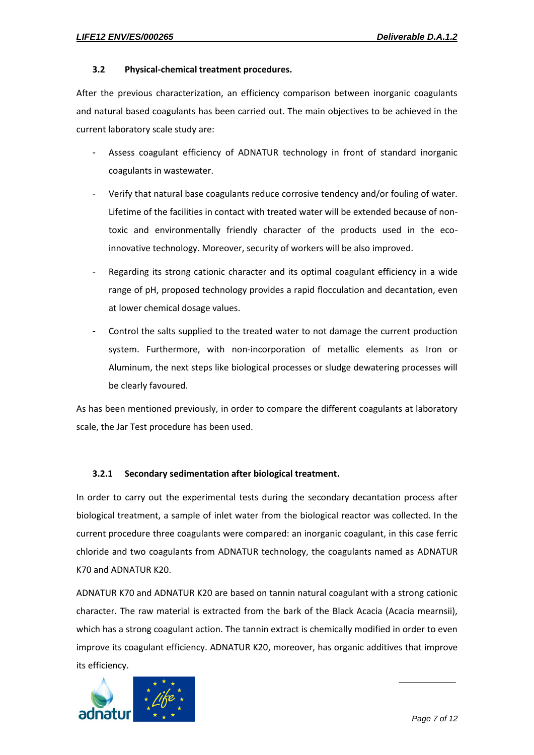#### **3.2 Physical-chemical treatment procedures.**

After the previous characterization, an efficiency comparison between inorganic coagulants and natural based coagulants has been carried out. The main objectives to be achieved in the current laboratory scale study are:

- Assess coagulant efficiency of ADNATUR technology in front of standard inorganic coagulants in wastewater.
- Verify that natural base coagulants reduce corrosive tendency and/or fouling of water. Lifetime of the facilities in contact with treated water will be extended because of nontoxic and environmentally friendly character of the products used in the ecoinnovative technology. Moreover, security of workers will be also improved.
- Regarding its strong cationic character and its optimal coagulant efficiency in a wide range of pH, proposed technology provides a rapid flocculation and decantation, even at lower chemical dosage values.
- Control the salts supplied to the treated water to not damage the current production system. Furthermore, with non-incorporation of metallic elements as Iron or Aluminum, the next steps like biological processes or sludge dewatering processes will be clearly favoured.

As has been mentioned previously, in order to compare the different coagulants at laboratory scale, the Jar Test procedure has been used.

#### **3.2.1 Secondary sedimentation after biological treatment.**

In order to carry out the experimental tests during the secondary decantation process after biological treatment, a sample of inlet water from the biological reactor was collected. In the current procedure three coagulants were compared: an inorganic coagulant, in this case ferric chloride and two coagulants from ADNATUR technology, the coagulants named as ADNATUR K70 and ADNATUR K20.

ADNATUR K70 and ADNATUR K20 are based on tannin natural coagulant with a strong cationic character. The raw material is extracted from the bark of the Black Acacia (Acacia mearnsii), which has a strong coagulant action. The tannin extract is chemically modified in order to even improve its coagulant efficiency. ADNATUR K20, moreover, has organic additives that improve its efficiency.

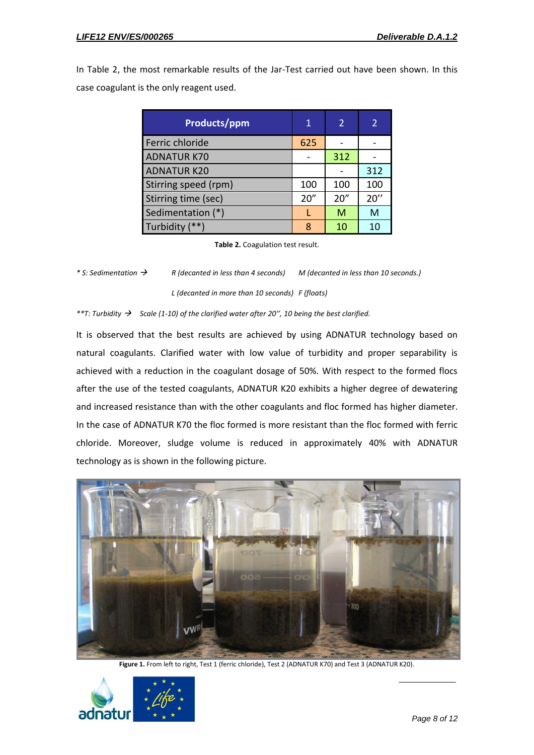In Table 2, the most remarkable results of the Jar-Test carried out have been shown. In this case coagulant is the only reagent used.

| Products/ppm         | 1    | 2    |      |
|----------------------|------|------|------|
| Ferric chloride      | 625  |      |      |
| <b>ADNATUR K70</b>   |      | 312  |      |
| <b>ADNATUR K20</b>   |      |      | 312  |
| Stirring speed (rpm) | 100  | 100  | 100  |
| Stirring time (sec)  | 20'' | 20'' | 20'' |
| Sedimentation (*)    |      | M    | M    |
| Turbidity (**)       | 8    | 10   | 10   |

**Table 2.** Coagulation test result.

```
* S: Sedimentation  R (decanted in less than 4 seconds) M (decanted in less than 10 seconds.)
              L (decanted in more than 10 seconds) F (floats)
```
*\*\*T: Turbidity Scale (1-10) of the clarified water after 20'', 10 being the best clarified.*

It is observed that the best results are achieved by using ADNATUR technology based on natural coagulants. Clarified water with low value of turbidity and proper separability is achieved with a reduction in the coagulant dosage of 50%. With respect to the formed flocs after the use of the tested coagulants, ADNATUR K20 exhibits a higher degree of dewatering and increased resistance than with the other coagulants and floc formed has higher diameter. In the case of ADNATUR K70 the floc formed is more resistant than the floc formed with ferric chloride. Moreover, sludge volume is reduced in approximately 40% with ADNATUR technology as is shown in the following picture.



Figure 1. From left to right, Test 1 (ferric chloride), Test 2 (ADNATUR K70) and Test 3 (ADNATUR K20).

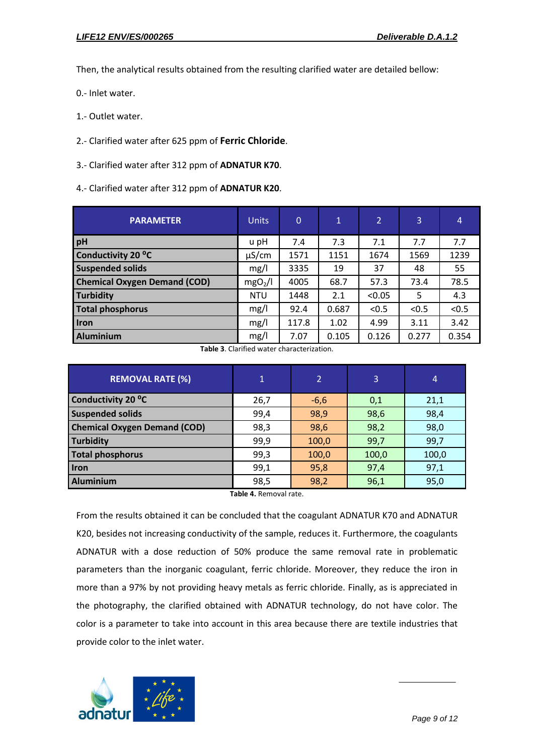Then, the analytical results obtained from the resulting clarified water are detailed bellow:

0.- Inlet water.

1.- Outlet water.

2.- Clarified water after 625 ppm of **Ferric Chloride**.

3.- Clarified water after 312 ppm of **ADNATUR K70**.

4.- Clarified water after 312 ppm of **ADNATUR K20**.

| <b>PARAMETER</b>                    | <b>Units</b>        | $\overline{0}$ | $\mathbf{1}$ | 2      | 3     | $\overline{4}$ |
|-------------------------------------|---------------------|----------------|--------------|--------|-------|----------------|
| pH                                  | u pH                | 7.4            | 7.3          | 7.1    | 7.7   | 7.7            |
| Conductivity 20 °C                  | $\mu$ S/cm          | 1571           | 1151         | 1674   | 1569  | 1239           |
| <b>Suspended solids</b>             | mg/l                | 3335           | 19           | 37     | 48    | 55             |
| <b>Chemical Oxygen Demand (COD)</b> | mgO <sub>2</sub> /I | 4005           | 68.7         | 57.3   | 73.4  | 78.5           |
| <b>Turbidity</b>                    | <b>NTU</b>          | 1448           | 2.1          | < 0.05 | 5     | 4.3            |
| <b>Total phosphorus</b>             | mg/l                | 92.4           | 0.687        | < 0.5  | < 0.5 | < 0.5          |
| Iron                                | mg/l                | 117.8          | 1.02         | 4.99   | 3.11  | 3.42           |
| <b>Aluminium</b>                    | mg/l                | 7.07           | 0.105        | 0.126  | 0.277 | 0.354          |

**Table 3**. Clarified water characterization.

| <b>REMOVAL RATE (%)</b>             | $\overline{1}$ | $\overline{2}$ | 3     | 4     |
|-------------------------------------|----------------|----------------|-------|-------|
| Conductivity 20 °C                  | 26,7           | $-6,6$         | 0,1   | 21,1  |
| <b>Suspended solids</b>             | 99,4           | 98,9           | 98,6  | 98,4  |
| <b>Chemical Oxygen Demand (COD)</b> | 98,3           | 98,6           | 98,2  | 98,0  |
| <b>Turbidity</b>                    | 99,9           | 100,0          | 99,7  | 99,7  |
| <b>Total phosphorus</b>             | 99,3           | 100,0          | 100,0 | 100,0 |
| <b>Iron</b>                         | 99,1           | 95,8           | 97,4  | 97,1  |
| <b>Aluminium</b>                    | 98,5           | 98,2           | 96,1  | 95,0  |

**Table 4.** Removal rate.

From the results obtained it can be concluded that the coagulant ADNATUR K70 and ADNATUR K20, besides not increasing conductivity of the sample, reduces it. Furthermore, the coagulants ADNATUR with a dose reduction of 50% produce the same removal rate in problematic parameters than the inorganic coagulant, ferric chloride. Moreover, they reduce the iron in more than a 97% by not providing heavy metals as ferric chloride. Finally, as is appreciated in the photography, the clarified obtained with ADNATUR technology, do not have color. The color is a parameter to take into account in this area because there are textile industries that provide color to the inlet water.

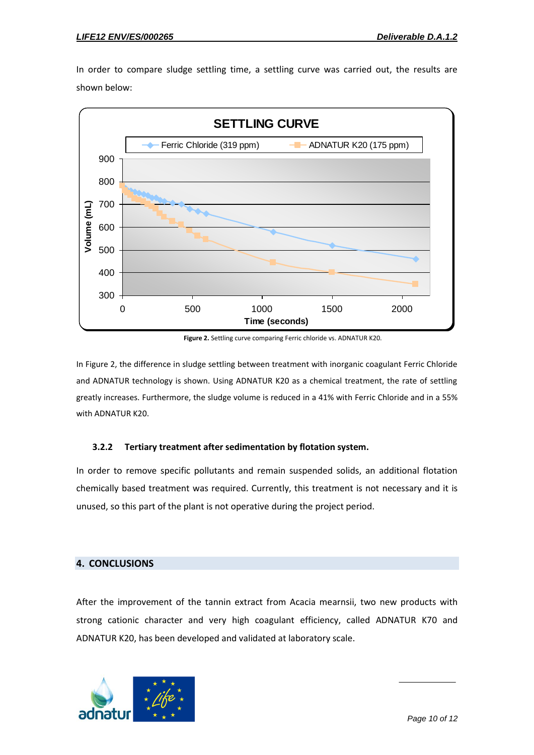In order to compare sludge settling time, a settling curve was carried out, the results are shown below:



**Figure 2.** Settling curve comparing Ferric chloride vs. ADNATUR K20.

In Figure 2, the difference in sludge settling between treatment with inorganic coagulant Ferric Chloride and ADNATUR technology is shown. Using ADNATUR K20 as a chemical treatment, the rate of settling greatly increases. Furthermore, the sludge volume is reduced in a 41% with Ferric Chloride and in a 55% with ADNATUR K20.

#### **3.2.2 Tertiary treatment after sedimentation by flotation system.**

In order to remove specific pollutants and remain suspended solids, an additional flotation chemically based treatment was required. Currently, this treatment is not necessary and it is unused, so this part of the plant is not operative during the project period.

### <span id="page-10-0"></span>**4. CONCLUSIONS**

After the improvement of the tannin extract from Acacia mearnsii, two new products with strong cationic character and very high coagulant efficiency, called ADNATUR K70 and ADNATUR K20, has been developed and validated at laboratory scale.